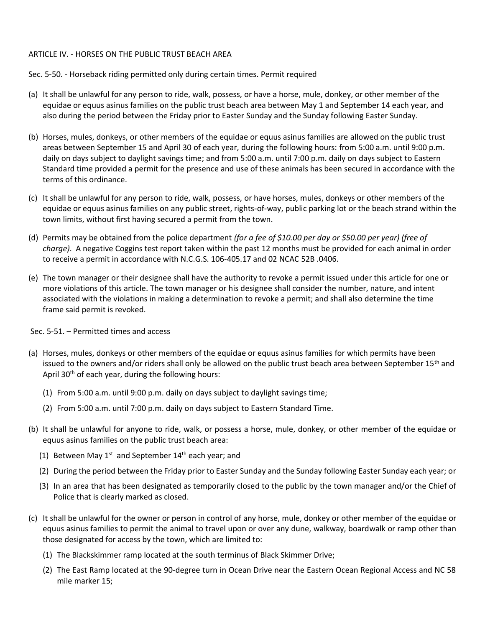## ARTICLE IV. - HORSES ON THE PUBLIC TRUST BEACH AREA

Sec. 5-50. - Horseback riding permitted only during certain times. Permit required

- (a) It shall be unlawful for any person to ride, walk, possess, or have a horse, mule, donkey, or other member of the equidae or equus asinus families on the public trust beach area between May 1 and September 14 each year, and also during the period between the Friday prior to Easter Sunday and the Sunday following Easter Sunday.
- (b) Horses, mules, donkeys, or other members of the equidae or equus asinus families are allowed on the public trust areas between September 15 and April 30 of each year, during the following hours: from 5:00 a.m. until 9:00 p.m. daily on days subject to daylight savings time; and from 5:00 a.m. until 7:00 p.m. daily on days subject to Eastern Standard time provided a permit for the presence and use of these animals has been secured in accordance with the terms of this ordinance.
- (c) It shall be unlawful for any person to ride, walk, possess, or have horses, mules, donkeys or other members of the equidae or equus asinus families on any public street, rights-of-way, public parking lot or the beach strand within the town limits, without first having secured a permit from the town.
- (d) Permits may be obtained from the police department *(for a fee of \$10.00 per day or \$50.00 per year) (free of charge)*. A negative Coggins test report taken within the past 12 months must be provided for each animal in order to receive a permit in accordance with N.C.G.S. 106-405.17 and 02 NCAC 52B .0406.
- (e) The town manager or their designee shall have the authority to revoke a permit issued under this article for one or more violations of this article. The town manager or his designee shall consider the number, nature, and intent associated with the violations in making a determination to revoke a permit; and shall also determine the time frame said permit is revoked.

Sec. 5-51. – Permitted times and access

- (a) Horses, mules, donkeys or other members of the equidae or equus asinus families for which permits have been issued to the owners and/or riders shall only be allowed on the public trust beach area between September 15<sup>th</sup> and April 30<sup>th</sup> of each year, during the following hours:
	- (1) From 5:00 a.m. until 9:00 p.m. daily on days subject to daylight savings time;
	- (2) From 5:00 a.m. until 7:00 p.m. daily on days subject to Eastern Standard Time.
- (b) It shall be unlawful for anyone to ride, walk, or possess a horse, mule, donkey, or other member of the equidae or equus asinus families on the public trust beach area:
	- (1) Between May  $1^{st}$  and September  $14^{th}$  each year; and
	- (2) During the period between the Friday prior to Easter Sunday and the Sunday following Easter Sunday each year; or
	- (3) In an area that has been designated as temporarily closed to the public by the town manager and/or the Chief of Police that is clearly marked as closed.
- (c) It shall be unlawful for the owner or person in control of any horse, mule, donkey or other member of the equidae or equus asinus families to permit the animal to travel upon or over any dune, walkway, boardwalk or ramp other than those designated for access by the town, which are limited to:
	- (1) The Blackskimmer ramp located at the south terminus of Black Skimmer Drive;
	- (2) The East Ramp located at the 90-degree turn in Ocean Drive near the Eastern Ocean Regional Access and NC 58 mile marker 15;